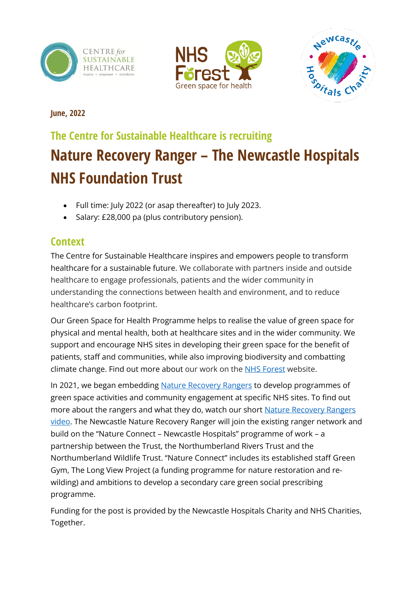





**June, 2022**

# **The Centre for Sustainable Healthcare is recruiting Nature Recovery Ranger – The Newcastle Hospitals NHS Foundation Trust**

- Full time: July 2022 (or asap thereafter) to July 2023.
- Salary: £28,000 pa (plus contributory pension).

# **Context**

The Centre for Sustainable Healthcare inspires and empowers people to transform healthcare for a sustainable future. We collaborate with partners inside and outside healthcare to engage professionals, patients and the wider community in understanding the connections between health and environment, and to reduce healthcare's carbon footprint.

Our Green Space for Health Programme helps to realise the value of green space for physical and mental health, both at healthcare sites and in the wider community. We support and encourage NHS sites in developing their green space for the benefit of patients, staff and communities, while also improving biodiversity and combatting climate change. Find out more about our work on the [NHS Forest](https://nhsforest.org/) website.

In 2021, we began embedding [Nature Recovery Rangers](https://nhsforest.org/projects/nature-recovery-rangers/) to develop programmes of green space activities and community engagement at specific NHS sites. To find out more about the rangers and what they do, watch our short [Nature Recovery Rangers](https://nhsforest.org/nature-recovery-rangers) [video.](https://nhsforest.org/nature-recovery-rangers) The Newcastle Nature Recovery Ranger will join the existing ranger network and build on the "Nature Connect – Newcastle Hospitals" programme of work – a partnership between the Trust, the Northumberland Rivers Trust and the Northumberland Wildlife Trust. "Nature Connect" includes its established staff Green Gym, The Long View Project (a funding programme for nature restoration and rewilding) and ambitions to develop a secondary care green social prescribing programme.

Funding for the post is provided by the Newcastle Hospitals Charity and NHS Charities, Together.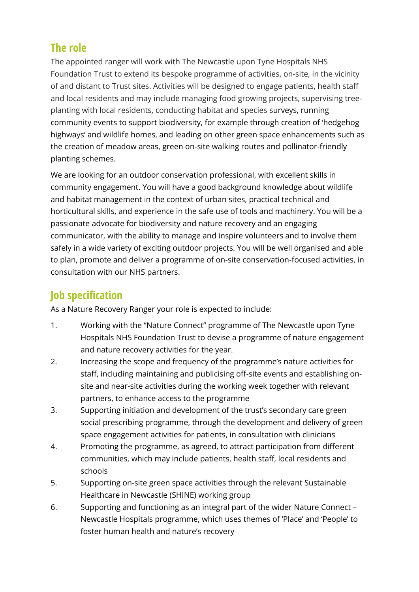#### **The role**

The appointed ranger will work with The Newcastle upon Tyne Hospitals NHS Foundation Trust to extend its bespoke programme of activities, on-site, in the vicinity of and distant to Trust sites. Activities will be designed to engage patients, health staff and local residents and may include managing food growing projects, supervising treeplanting with local residents, conducting habitat and species surveys, running community events to support biodiversity, for example through creation of 'hedgehog highways' and wildlife homes, and leading on other green space enhancements such as the creation of meadow areas, green on-site walking routes and pollinator-friendly planting schemes.

We are looking for an outdoor conservation professional, with excellent skills in community engagement. You will have a good background knowledge about wildlife and habitat management in the context of urban sites, practical technical and horticultural skills, and experience in the safe use of tools and machinery. You will be a passionate advocate for biodiversity and nature recovery and an engaging communicator, with the ability to manage and inspire volunteers and to involve them safely in a wide variety of exciting outdoor projects. You will be well organised and able to plan, promote and deliver a programme of on-site conservation-focused activities, in consultation with our NHS partners.

## **Job specification**

As a Nature Recovery Ranger your role is expected to include:

- 1. Working with the "Nature Connect" programme of The Newcastle upon Tyne Hospitals NHS Foundation Trust to devise a programme of nature engagement and nature recovery activities for the year.
- 2. Increasing the scope and frequency of the programme's nature activities for staff, including maintaining and publicising off-site events and establishing onsite and near-site activities during the working week together with relevant partners, to enhance access to the programme
- 3. Supporting initiation and development of the trust's secondary care green social prescribing programme, through the development and delivery of green space engagement activities for patients, in consultation with clinicians
- 4. Promoting the programme, as agreed, to attract participation from different communities, which may include patients, health staff, local residents and schools
- 5. Supporting on-site green space activities through the relevant Sustainable Healthcare in Newcastle (SHINE) working group
- 6. Supporting and functioning as an integral part of the wider Nature Connect Newcastle Hospitals programme, which uses themes of 'Place' and 'People' to foster human health and nature's recovery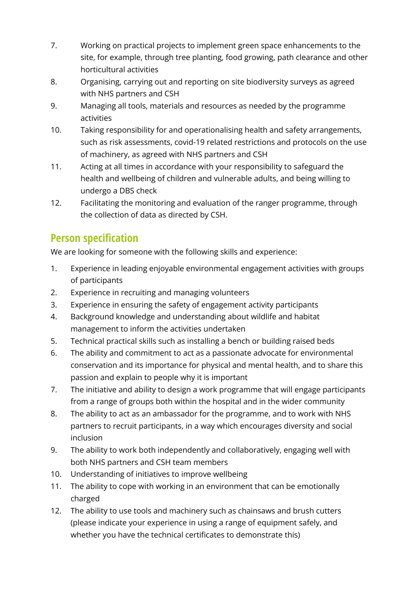- 7. Working on practical projects to implement green space enhancements to the site, for example, through tree planting, food growing, path clearance and other horticultural activities
- 8. Organising, carrying out and reporting on site biodiversity surveys as agreed with NHS partners and CSH
- 9. Managing all tools, materials and resources as needed by the programme activities
- 10. Taking responsibility for and operationalising health and safety arrangements, such as risk assessments, covid-19 related restrictions and protocols on the use of machinery, as agreed with NHS partners and CSH
- 11. Acting at all times in accordance with your responsibility to safeguard the health and wellbeing of children and vulnerable adults, and being willing to undergo a DBS check
- 12. Facilitating the monitoring and evaluation of the ranger programme, through the collection of data as directed by CSH.

## **Person specification**

We are looking for someone with the following skills and experience:

- 1. Experience in leading enjoyable environmental engagement activities with groups of participants
- 2. Experience in recruiting and managing volunteers
- 3. Experience in ensuring the safety of engagement activity participants
- 4. Background knowledge and understanding about wildlife and habitat management to inform the activities undertaken
- 5. Technical practical skills such as installing a bench or building raised beds
- 6. The ability and commitment to act as a passionate advocate for environmental conservation and its importance for physical and mental health, and to share this passion and explain to people why it is important
- 7. The initiative and ability to design a work programme that will engage participants from a range of groups both within the hospital and in the wider community
- 8. The ability to act as an ambassador for the programme, and to work with NHS partners to recruit participants, in a way which encourages diversity and social inclusion
- 9. The ability to work both independently and collaboratively, engaging well with both NHS partners and CSH team members
- 10. Understanding of initiatives to improve wellbeing
- 11. The ability to cope with working in an environment that can be emotionally charged
- 12. The ability to use tools and machinery such as chainsaws and brush cutters (please indicate your experience in using a range of equipment safely, and whether you have the technical certificates to demonstrate this)